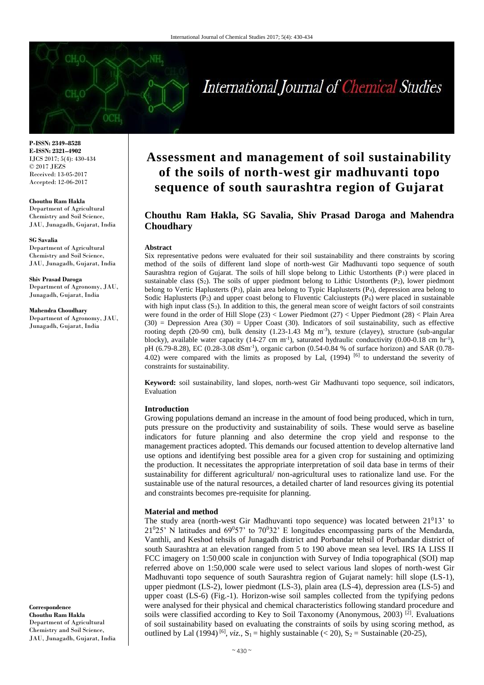# International Journal of Chemical Studies

**P-ISSN: 2349–8528 E-ISSN: 2321–4902** IJCS 2017; 5(4): 430-434 © 2017 JEZS Received: 13-05-2017 Accepted: 12-06-2017

#### **Chouthu Ram Hakla**

Department of Agricultural Chemistry and Soil Science, JAU, Junagadh, Gujarat, India

#### **SG Savalia**

Department of Agricultural Chemistry and Soil Science, JAU, Junagadh, Gujarat, India

#### **Shiv Prasad Daroga**

Department of Agronomy, JAU, Junagadh, Gujarat, India

#### **Mahendra Choudhary**

Department of Agronomy, JAU, Junagadh, Gujarat, India

## **Assessment and management of soil sustainability of the soils of north-west gir madhuvanti topo sequence of south saurashtra region of Gujarat**

## **Chouthu Ram Hakla, SG Savalia, Shiv Prasad Daroga and Mahendra Choudhary**

#### **Abstract**

Six representative pedons were evaluated for their soil sustainability and there constraints by scoring method of the soils of different land slope of north-west Gir Madhuvanti topo sequence of south Saurashtra region of Gujarat. The soils of hill slope belong to Lithic Ustorthents  $(P_1)$  were placed in sustainable class  $(S_2)$ . The soils of upper piedmont belong to Lithic Ustorthents  $(P_2)$ , lower piedmont belong to Vertic Haplusterts (P3), plain area belong to Typic Haplusterts (P4), depression area belong to Sodic Haplusterts  $(P_5)$  and upper coast belong to Fluventic Calciustepts  $(P_6)$  were placed in sustainable with high input class  $(S_3)$ . In addition to this, the general mean score of weight factors of soil constraints were found in the order of Hill Slope (23) < Lower Piedmont (27) < Upper Piedmont (28) < Plain Area  $(30)$  = Depression Area  $(30)$  = Upper Coast  $(30)$ . Indicators of soil sustainability, such as effective rooting depth (20-90 cm), bulk density  $(1.23-1.43 \text{ Mg m}^3)$ , texture (clayey), structure (sub-angular blocky), available water capacity (14-27 cm m<sup>-1</sup>), saturated hydraulic conductivity (0.00-0.18 cm hr<sup>-1</sup>), pH (6.79-8.28), EC (0.28-3.08 dSm<sup>-1</sup>), organic carbon (0.54-0.84 % of surface horizon) and SAR (0.78-4.02) were compared with the limits as proposed by Lal,  $(1994)$  [6] to understand the severity of constraints for sustainability.

**Keyword:** soil sustainability, land slopes, north-west Gir Madhuvanti topo sequence, soil indicators, Evaluation

#### **Introduction**

Growing populations demand an increase in the amount of food being produced, which in turn, puts pressure on the productivity and sustainability of soils. These would serve as baseline indicators for future planning and also determine the crop yield and response to the management practices adopted. This demands our focused attention to develop alternative land use options and identifying best possible area for a given crop for sustaining and optimizing the production. It necessitates the appropriate interpretation of soil data base in terms of their sustainability for different agricultural/ non-agricultural uses to rationalize land use. For the sustainable use of the natural resources, a detailed charter of land resources giving its potential and constraints becomes pre-requisite for planning.

#### **Material and method**

The study area (north-west Gir Madhuvanti topo sequence) was located between  $21<sup>0</sup>13$ ' to  $21^025'$  N latitudes and  $69^057'$  to  $70^032'$  E longitudes encompassing parts of the Mendarda, Vanthli, and Keshod tehsils of Junagadh district and Porbandar tehsil of Porbandar district of south Saurashtra at an elevation ranged from 5 to 190 above mean sea level. IRS IA LISS II FCC imagery on 1:50,000 scale in conjunction with Survey of India topographical (SOI) map referred above on 1:50,000 scale were used to select various land slopes of north-west Gir Madhuvanti topo sequence of south Saurashtra region of Gujarat namely: hill slope (LS-1), upper piedmont (LS-2), lower piedmont (LS-3), plain area (LS-4), depression area (LS-5) and upper coast (LS-6) (Fig.-1). Horizon-wise soil samples collected from the typifying pedons were analysed for their physical and chemical characteristics following standard procedure and soils were classified according to Key to Soil Taxonomy (Anonymous, 2003)<sup>[2]</sup>. Evaluations of soil sustainability based on evaluating the constraints of soils by using scoring method, as outlined by Lal (1994)<sup>[6]</sup>, *viz.*,  $S_1$  = highly sustainable (< 20),  $S_2$  = Sustainable (20-25),

**Correspondence Chouthu Ram Hakla** Department of Agricultural Chemistry and Soil Science, JAU, Junagadh, Gujarat, India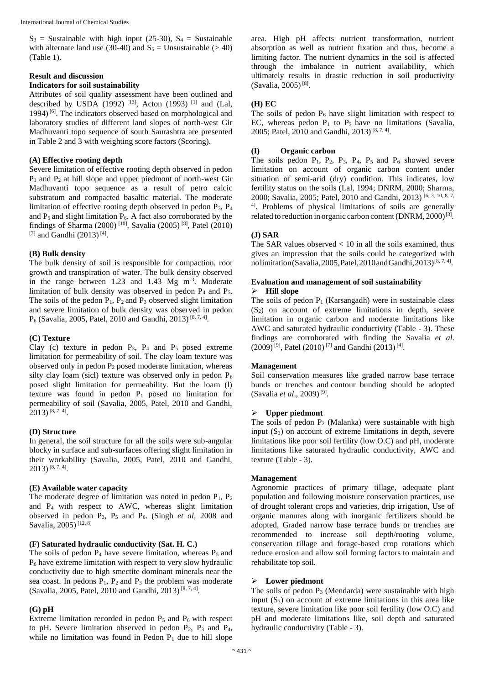$S_3$  = Sustainable with high input (25-30),  $S_4$  = Sustainable with alternate land use (30-40) and  $S_5 =$  Unsustainable (> 40) (Table 1).

## **Result and discussion**

## **Indicators for soil sustainability**

Attributes of soil quality assessment have been outlined and described by USDA (1992)<sup>[13]</sup>, Acton (1993)<sup>[1]</sup> and (Lal, 1994)<sup>[6]</sup>. The indicators observed based on morphological and laboratory studies of different land slopes of north-west Gir Madhuvanti topo sequence of south Saurashtra are presented in Table 2 and 3 with weighting score factors (Scoring).

## **(A) Effective rooting depth**

Severe limitation of effective rooting depth observed in pedon  $P_1$  and  $P_2$  at hill slope and upper piedmont of north-west Gir Madhuvanti topo sequence as a result of petro calcic substratum and compacted basaltic material. The moderate limitation of effective rooting depth observed in pedon  $P_3$ ,  $P_4$ and  $P_5$  and slight limitation  $P_6$ . A fact also corroborated by the findings of Sharma (2000)<sup>[10]</sup>, Savalia (2005)<sup>[8]</sup>, Patel (2010) [7] and Gandhi  $(2013)$ <sup>[4]</sup>.

#### **(B) Bulk density**

The bulk density of soil is responsible for compaction, root growth and transpiration of water. The bulk density observed in the range between  $1.23$  and  $1.43$  Mg m<sup>-3</sup>. Moderate limitation of bulk density was observed in pedon  $P_4$  and  $P_5$ . The soils of the pedon  $P_1$ ,  $P_2$  and  $P_3$  observed slight limitation and severe limitation of bulk density was observed in pedon  $P_6$  (Savalia, 2005, Patel, 2010 and Gandhi, 2013)<sup>[8, 7, 4]</sup>.

#### **(C) Texture**

Clay (c) texture in pedon  $P_3$ ,  $P_4$  and  $P_5$  posed extreme limitation for permeability of soil. The clay loam texture was observed only in pedon P<sup>2</sup> posed moderate limitation, whereas silty clay loam (sicl) texture was observed only in pedon  $P_6$ posed slight limitation for permeability. But the loam (l) texture was found in pedon  $P_1$  posed no limitation for permeability of soil (Savalia, 2005, Patel, 2010 and Gandhi, 2013) [8, 7, 4] .

#### **(D) Structure**

In general, the soil structure for all the soils were sub-angular blocky in surface and sub-surfaces offering slight limitation in their workability (Savalia, 2005, Patel, 2010 and Gandhi, 2013) [8, 7, 4] .

#### **(E) Available water capacity**

The moderate degree of limitation was noted in pedon  $P_1$ ,  $P_2$ and P4 with respect to AWC, whereas slight limitation observed in pedon  $P_3$ ,  $P_5$  and  $P_6$ . (Singh *et al*, 2008 and Savalia, 2005)<sup>[12, 8]</sup>

#### **(F) Saturated hydraulic conductivity (Sat. H. C.)**

The soils of pedon  $P_4$  have severe limitation, whereas  $P_5$  and P<sup>6</sup> have extreme limitation with respect to very slow hydraulic conductivity due to high smectite dominant minerals near the sea coast. In pedons  $P_1$ ,  $P_2$  and  $P_3$  the problem was moderate (Savalia, 2005, Patel, 2010 and Gandhi, 2013)<sup>[8, 7, 4]</sup>.

#### **(G) pH**

Extreme limitation recorded in pedon  $P_5$  and  $P_6$  with respect to pH. Severe limitation observed in pedon  $P_2$ ,  $P_3$  and  $P_4$ , while no limitation was found in Pedon  $P_1$  due to hill slope area. High pH affects nutrient transformation, nutrient absorption as well as nutrient fixation and thus, become a limiting factor. The nutrient dynamics in the soil is affected through the imbalance in nutrient availability, which ultimately results in drastic reduction in soil productivity (Savalia, 2005) [8] .

#### **(H) EC**

The soils of pedon  $P_6$  have slight limitation with respect to EC, whereas pedon  $P_1$  to  $P_5$  have no limitations (Savalia, 2005; Patel, 2010 and Gandhi, 2013)<sup>[8, 7, 4]</sup>.

#### **(I) Organic carbon**

The soils pedon  $P_1$ ,  $P_2$ ,  $P_3$ ,  $P_4$ ,  $P_5$  and  $P_6$  showed severe limitation on account of organic carbon content under situation of semi-arid (dry) condition. This indicates, low fertility status on the soils (Lal, 1994; DNRM, 2000; Sharma, 2000; Savalia, 2005; Patel, 2010 and Gandhi, 2013) [6, 3, 10, 8, 7, 4] . Problems of physical limitations of soils are generally related to reduction in organic carbon content (DNRM, 2000)<sup>[3]</sup>.

#### **(J) SAR**

The SAR values observed  $< 10$  in all the soils examined, thus gives an impression that the soils could be categorized with nolimitation (Savalia, 2005, Patel, 2010and Gandhi, 2013)<sup>[8,7,4]</sup>.

## **Evaluation and management of soil sustainability**

## **Hill slope**

The soils of pedon  $P_1$  (Karsangadh) were in sustainable class  $(S_2)$  on account of extreme limitations in depth, severe limitation in organic carbon and moderate limitations like AWC and saturated hydraulic conductivity (Table - 3). These findings are corroborated with finding the Savalia *et al*.  $(2009)^{9}$ , Patel  $(2010)^{7}$  and Gandhi  $(2013)^{[4]}$ .

#### **Management**

Soil conservation measures like graded narrow base terrace bunds or trenches and contour bunding should be adopted (Savalia *et al*., 2009) [9] .

## **Upper piedmont**

The soils of pedon  $P_2$  (Malanka) were sustainable with high input  $(S_3)$  on account of extreme limitations in depth, severe limitations like poor soil fertility (low O.C) and pH, moderate limitations like saturated hydraulic conductivity, AWC and texture (Table - 3).

#### **Management**

Agronomic practices of primary tillage, adequate plant population and following moisture conservation practices, use of drought tolerant crops and varieties, drip irrigation, Use of organic manures along with inorganic fertilizers should be adopted, Graded narrow base terrace bunds or trenches are recommended to increase soil depth/rooting volume, conservation tillage and forage-based crop rotations which reduce erosion and allow soil forming factors to maintain and rehabilitate top soil.

#### **Lower piedmont**

The soils of pedon  $P_3$  (Mendarda) were sustainable with high input  $(S_3)$  on account of extreme limitations in this area like texture, severe limitation like poor soil fertility (low O.C) and pH and moderate limitations like, soil depth and saturated hydraulic conductivity (Table - 3).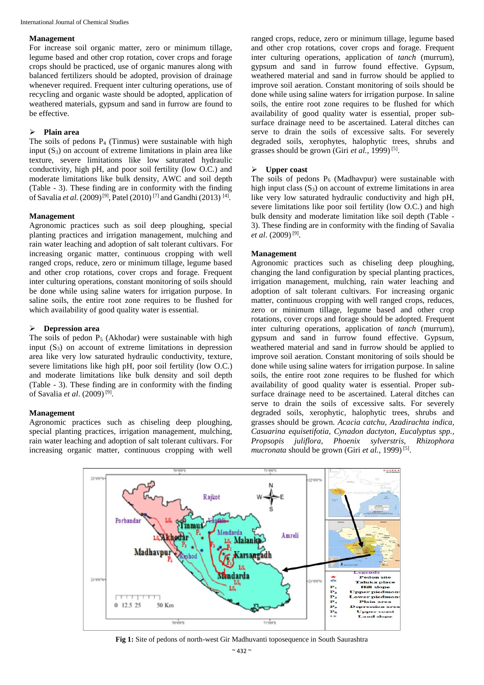International Journal of Chemical Studies

#### **Management**

For increase soil organic matter, zero or minimum tillage, legume based and other crop rotation, cover crops and forage crops should be practiced, use of organic manures along with balanced fertilizers should be adopted, provision of drainage whenever required. Frequent inter culturing operations, use of recycling and organic waste should be adopted, application of weathered materials, gypsum and sand in furrow are found to be effective.

## **Plain area**

The soils of pedons  $P_4$  (Tinmus) were sustainable with high input  $(S_3)$  on account of extreme limitations in plain area like texture, severe limitations like low saturated hydraulic conductivity, high pH, and poor soil fertility (low O.C.) and moderate limitations like bulk density, AWC and soil depth (Table - 3). These finding are in conformity with the finding of Savalia *et al*. (2009)<sup>[9]</sup>, Patel (2010)<sup>[7]</sup> and Gandhi (2013)<sup>[4]</sup>.

## **Management**

Agronomic practices such as soil deep ploughing, special planting practices and irrigation management, mulching and rain water leaching and adoption of salt tolerant cultivars. For increasing organic matter, continuous cropping with well ranged crops, reduce, zero or minimum tillage, legume based and other crop rotations, cover crops and forage. Frequent inter culturing operations, constant monitoring of soils should be done while using saline waters for irrigation purpose. In saline soils, the entire root zone requires to be flushed for which availability of good quality water is essential.

## **Depression area**

The soils of pedon  $P_5$  (Akhodar) were sustainable with high input  $(S_3)$  on account of extreme limitations in depression area like very low saturated hydraulic conductivity, texture, severe limitations like high pH, poor soil fertility (low O.C.) and moderate limitations like bulk density and soil depth (Table - 3). These finding are in conformity with the finding of Savalia *et al*. (2009) [9] .

#### **Management**

Agronomic practices such as chiseling deep ploughing, special planting practices, irrigation management, mulching, rain water leaching and adoption of salt tolerant cultivars. For increasing organic matter, continuous cropping with well

ranged crops, reduce, zero or minimum tillage, legume based and other crop rotations, cover crops and forage. Frequent inter culturing operations, application of *tanch* (murrum), gypsum and sand in furrow found effective. Gypsum, weathered material and sand in furrow should be applied to improve soil aeration. Constant monitoring of soils should be done while using saline waters for irrigation purpose. In saline soils, the entire root zone requires to be flushed for which availability of good quality water is essential, proper subsurface drainage need to be ascertained. Lateral ditches can serve to drain the soils of excessive salts. For severely degraded soils, xerophytes, halophytic trees, shrubs and grasses should be grown (Giri *et al.*, 1999)<sup>[5]</sup>.

#### **Upper coast**

The soils of pedons  $P_6$  (Madhavpur) were sustainable with high input class  $(S_3)$  on account of extreme limitations in area like very low saturated hydraulic conductivity and high pH, severe limitations like poor soil fertility (low O.C.) and high bulk density and moderate limitation like soil depth (Table - 3). These finding are in conformity with the finding of Savalia *et al*. (2009) [9] .

### **Management**

Agronomic practices such as chiseling deep ploughing, changing the land configuration by special planting practices, irrigation management, mulching, rain water leaching and adoption of salt tolerant cultivars. For increasing organic matter, continuous cropping with well ranged crops, reduces, zero or minimum tillage, legume based and other crop rotations, cover crops and forage should be adopted. Frequent inter culturing operations, application of *tanch* (murrum), gypsum and sand in furrow found effective. Gypsum, weathered material and sand in furrow should be applied to improve soil aeration. Constant monitoring of soils should be done while using saline waters for irrigation purpose. In saline soils, the entire root zone requires to be flushed for which availability of good quality water is essential. Proper subsurface drainage need to be ascertained. Lateral ditches can serve to drain the soils of excessive salts. For severely degraded soils, xerophytic, halophytic trees, shrubs and grasses should be grown. *Acacia catchu, Azadirachta indica, Casuarina equisetifotia, Cynadon dactyton, Eucalyptus spp., Propsopis juliflora, Phoenix sylverstris, Rhizophora mucronata* should be grown (Giri *et al.*, 1999)<sup>[5]</sup>.



**Fig 1:** Site of pedons of north-west Gir Madhuvanti toposequence in South Saurashtra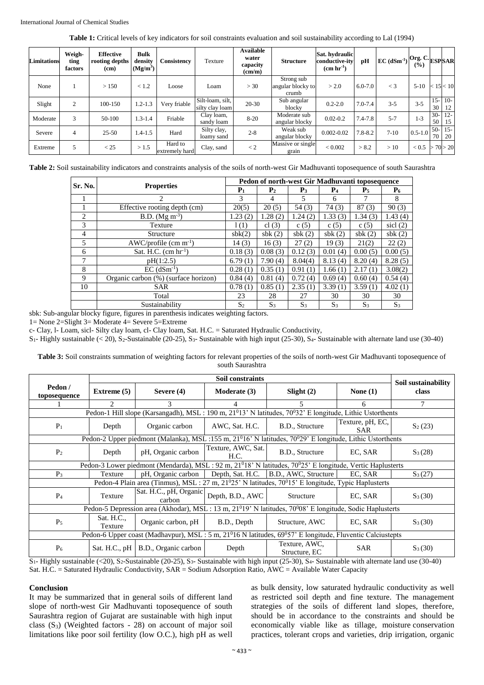**Table 1:** Critical levels of key indicators for soil constraints evaluation and soil sustainability according to Lal (1994)

| <b>Limitations</b> | Weigh-<br>ting<br>factors | <b>Effective</b><br>rooting depths<br>(cm) | <b>Bulk</b><br>density<br>(Mg/m <sup>3</sup> ) | Consistency               | Texture                             | <b>Available</b><br>water<br>capacity<br>$\text{(cm/m)}$ | <b>Structure</b>                         | Sat. hydraulic<br>conductive-ity<br>$(cm hr-1)$ | рH          | $ EC(dSm^{-1}) $ Org. C. | (%)               |             | <b>ESPSAR</b>     |
|--------------------|---------------------------|--------------------------------------------|------------------------------------------------|---------------------------|-------------------------------------|----------------------------------------------------------|------------------------------------------|-------------------------------------------------|-------------|--------------------------|-------------------|-------------|-------------------|
| None               |                           | >150                                       | < 1.2                                          | Loose                     | Loam                                | >30                                                      | Strong sub<br>angular blocky to<br>crumb | > 2.0                                           | $6.0 - 7.0$ | $\lt$ 3                  | $5-10$            |             | < 15 < 10         |
| Slight             | $\overline{2}$            | 100-150                                    | $1.2 - 1.3$                                    | Very friable              | Silt-loam, silt,<br>silty clay loam | $20 - 30$                                                | Sub angular<br>blocky                    | $0.2 - 2.0$                                     | $7.0 - 7.4$ | $3 - 5$                  | $3 - 5$           | 30          | $15 - 10 -$<br>12 |
| Moderate           | 3                         | 50-100                                     | $1.3 - 1.4$                                    | Friable                   | Clay loam,<br>sandy loam            | $8-20$                                                   | Moderate sub<br>angular blocky           | $0.02 - 0.2$                                    | $7.4 - 7.8$ | $5 - 7$                  | $1 - 3$           | $30-$<br>50 | $12 -$<br>15      |
| Severe             | 4                         | $25 - 50$                                  | $1.4 - 1.5$                                    | Hard                      | Silty clay,<br>loamy sand           | $2 - 8$                                                  | Weak sub<br>angular blocky               | $0.002 - 0.02$                                  | $7.8 - 8.2$ | $7-10$                   | $0.5 - 1.0$       | $50-$<br>70 | $15 -$<br>20      |
| Extreme            | 5                         | < 25                                       | >1.5                                           | Hard to<br>extremely hard | Clay, sand                          | $\lt 2$                                                  | Massive or single<br>grain               | ${}_{< 0.002}$                                  | > 8.2       | >10                      | $< 0.5$ > 70 > 20 |             |                   |

**Table 2:** Soil sustainability indicators and constraints analysis of the soils of north-west Gir Madhuvanti toposequence of south Saurashtra

| Sr. No.        |                                      | Pedon of north-west Gir Madhuvanti toposequence |                |           |           |           |                  |  |  |
|----------------|--------------------------------------|-------------------------------------------------|----------------|-----------|-----------|-----------|------------------|--|--|
|                | <b>Properties</b>                    | $P_1$                                           | P <sub>2</sub> | $P_3$     | $P_4$     | $P_5$     | $P_6$            |  |  |
|                | $\mathcal{L}$                        | 3                                               | 4              | 5         | 6         | 7         | 8                |  |  |
|                | Effective rooting depth (cm)         | 20(5)                                           | 20(5)          | 54(3)     | 74(3)     | 87(3)     | 90(3)            |  |  |
| $\mathfrak{D}$ | B.D. $(Mg \, m^{-3})$                | 1.23(2)                                         | 1.28(2)        | 1.24(2)   | 1.33(3)   | 1.34(3)   | 1.43(4)          |  |  |
| 3              | Texture                              | 1(1)                                            | cl $(3)$       | c(5)      | c(5)      | c(5)      | $\text{sicl}(2)$ |  |  |
| 4              | Structure                            | sbk(2)                                          | sb $k(2)$      | sb $k(2)$ | sb $k(2)$ | sb $k(2)$ | sb $k(2)$        |  |  |
| 5              | $AWC/profile (cm m-1)$               | 14(3)                                           | 16(3)          | 27(2)     | 19(3)     | 21(2)     | 22(2)            |  |  |
| 6              | Sat. H.C. $(cm hr-1)$                | 0.18(3)                                         | 0.08(3)        | 0.12(3)   | 0.01(4)   | 0.00(5)   | 0.00(5)          |  |  |
| 7              | pH(1:2.5)                            | 6.79(1)                                         | 7.90(4)        | 8.04(4)   | 8.13(4)   | 8.20(4)   | 8.28(5)          |  |  |
| 8              | $EC$ (dSm <sup>-1</sup> )            | 0.28(1)                                         | 0.35(1)        | 0.91(1)   | 1.66(1)   | 2.17(1)   | 3.08(2)          |  |  |
| 9              | Organic carbon (%) (surface horizon) | 0.84(4)                                         | 0.81(4)        | 0.72(4)   | 0.69(4)   | 0.60(4)   | 0.54(4)          |  |  |
| 10             | <b>SAR</b>                           | 0.78(1)                                         | 0.85(1)        | 2.35(1)   | 3.39(1)   | 3.59(1)   | 4.02(1)          |  |  |
|                | Total                                | 23                                              | 28             | 27        | 30        | 30        | 30               |  |  |
|                | Sustainability                       | S <sub>2</sub>                                  | $S_3$          | $S_3$     | $S_3$     | $S_3$     | $S_3$            |  |  |

sbk: Sub-angular blocky figure, figures in parenthesis indicates weighting factors.

1= None 2=Slight 3= Moderate 4= Severe 5=Extreme

c- Clay, l- Loam, sicl- Silty clay loam, cl- Clay loam, Sat. H.C. = Saturated Hydraulic Conductivity,

S<sub>1</sub>- Highly sustainable (< 20), S<sub>2</sub>-Sustainable (20-25), S<sub>3</sub>- Sustainable with high input (25-30), S<sub>4</sub>- Sustainable with alternate land use (30-40)

**Table 3:** Soil constraints summation of weighting factors for relevant properties of the soils of north-west Gir Madhuvanti toposequence of south Saurashtra

| Pedon /<br>toposequence                                                                                                            | Extreme $(5)$<br>Severe $(4)$ |                                  | Moderate (3)               | Slight $(2)$                   | None $(1)$                     | Soil sustainability<br>class |  |  |  |  |
|------------------------------------------------------------------------------------------------------------------------------------|-------------------------------|----------------------------------|----------------------------|--------------------------------|--------------------------------|------------------------------|--|--|--|--|
|                                                                                                                                    | $\mathfrak{D}$                | 3                                | 4                          | 5.                             | 6                              |                              |  |  |  |  |
| Pedon-1 Hill slope (Karsangadh), MSL : 190 m, 21 <sup>0</sup> 13' N latitudes, 70 <sup>0</sup> 32' E longitude, Lithic Ustorthents |                               |                                  |                            |                                |                                |                              |  |  |  |  |
| $P_1$                                                                                                                              | Depth                         | Organic carbon                   | AWC, Sat. H.C.             | B.D., Structure                | Texture, pH, EC,<br><b>SAR</b> | $S_2(23)$                    |  |  |  |  |
| Pedon-2 Upper piedmont (Malanka), MSL :155 m, $21^016'$ N latitudes, $70^029'$ E longitude, Lithic Ustorthents                     |                               |                                  |                            |                                |                                |                              |  |  |  |  |
| P <sub>2</sub>                                                                                                                     | Depth                         | pH, Organic carbon               | Texture, AWC, Sat.<br>H.C. | B.D., Structure                | EC, SAR                        | $S_3(28)$                    |  |  |  |  |
| Pedon-3 Lower piedmont (Mendarda), MSL: 92 m, 21 <sup>0</sup> 18' N latitudes, 70 <sup>0</sup> 25' E longitude, Vertic Haplusterts |                               |                                  |                            |                                |                                |                              |  |  |  |  |
| $P_3$                                                                                                                              | Texture                       | pH, Organic carbon               | Depth, Sat. H.C.           | B.D., AWC, Structure           | EC, SAR                        | $S_3(27)$                    |  |  |  |  |
| Pedon-4 Plain area (Tinmus), MSL : 27 m, 21 <sup>0</sup> 25' N latitudes, 70 <sup>0</sup> 15' E longitude, Typic Haplusterts       |                               |                                  |                            |                                |                                |                              |  |  |  |  |
| $P_4$                                                                                                                              | Texture                       | Sat. H.C., pH, Organic<br>carbon | Depth, B.D., AWC           | Structure                      | EC, SAR                        | $S_3(30)$                    |  |  |  |  |
| Pedon-5 Depression area (Akhodar), MSL : 13 m, 21 <sup>0</sup> 19' N latitudes, 70 <sup>0</sup> 08' E longitude, Sodic Haplusterts |                               |                                  |                            |                                |                                |                              |  |  |  |  |
| $P_5$                                                                                                                              | Sat. H.C.,<br>Texture         | Organic carbon, pH               | B.D., Depth                | Structure, AWC                 | EC, SAR                        | $S_3(30)$                    |  |  |  |  |
| Pedon-6 Upper coast (Madhavpur), MSL : 5 m, $21^016$ N latitudes, $69^057$ E longitude, Fluventic Calciustepts                     |                               |                                  |                            |                                |                                |                              |  |  |  |  |
| P <sub>6</sub>                                                                                                                     | Sat. H.C., $pH$               | B.D., Organic carbon             | Depth                      | Texture, AWC,<br>Structure, EC | <b>SAR</b>                     | $S_3(30)$                    |  |  |  |  |

S<sub>1</sub>- Highly sustainable (<20), S<sub>2</sub>-Sustainable (20-25), S<sub>3</sub>- Sustainable with high input (25-30), S<sub>4</sub>- Sustainable with alternate land use (30-40) Sat. H.C. = Saturated Hydraulic Conductivity, SAR = Sodium Adsorption Ratio, AWC = Available Water Capacity

#### **Conclusion**

It may be summarized that in general soils of different land slope of north-west Gir Madhuvanti toposequence of south Saurashtra region of Gujarat are sustainable with high input class  $(S_3)$  (Weighted factors - 28) on account of major soil limitations like poor soil fertility (low O.C.), high pH as well as bulk density, low saturated hydraulic conductivity as well as restricted soil depth and fine texture. The management strategies of the soils of different land slopes, therefore, should be in accordance to the constraints and should be economically viable like as tillage, moisture conservation practices, tolerant crops and varieties, drip irrigation, organic